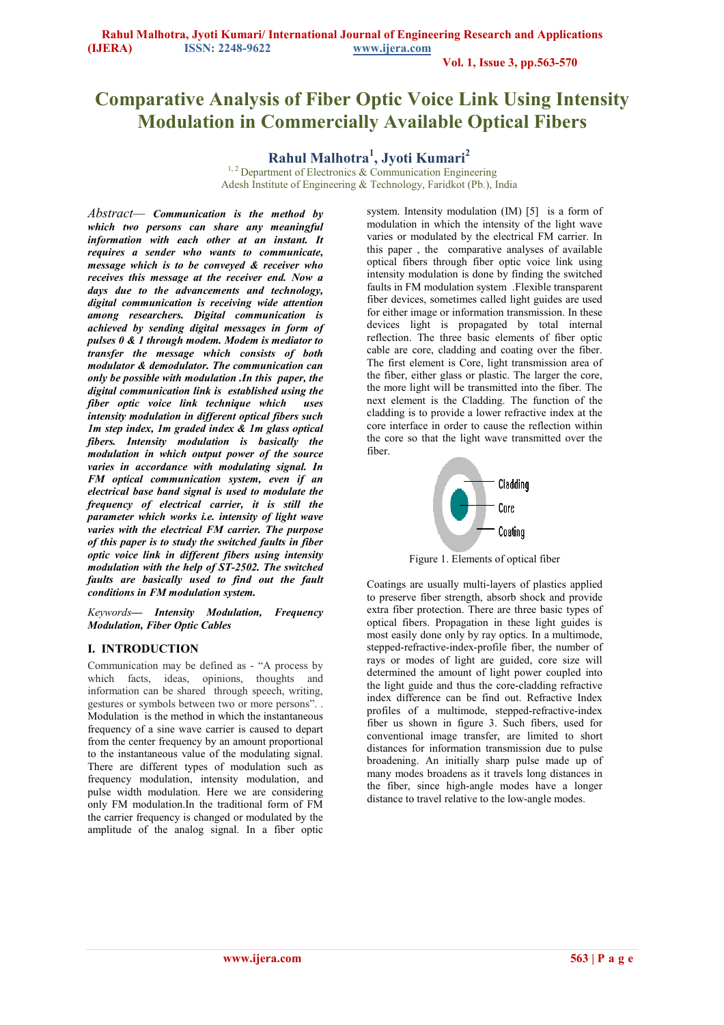**Vol. 1, Issue 3, pp.563-570** 

# **Comparative Analysis of Fiber Optic Voice Link Using Intensity Modulation in Commercially Available Optical Fibers**

**Rahul Malhotra<sup>1</sup> , Jyoti Kumari<sup>2</sup>**

 $1, 2$  Department of Electronics & Communication Engineering Adesh Institute of Engineering & Technology, Faridkot (Pb.), India

*Abstract— Communication is the method by which two persons can share any meaningful information with each other at an instant. It requires a sender who wants to communicate, message which is to be conveyed & receiver who receives this message at the receiver end. Now a days due to the advancements and technology, digital communication is receiving wide attention among researchers. Digital communication is achieved by sending digital messages in form of pulses 0 & 1 through modem. Modem is mediator to transfer the message which consists of both modulator & demodulator. The communication can only be possible with modulation .In this paper, the digital communication link is established using the fiber optic voice link technique which uses intensity modulation in different optical fibers such 1m step index, 1m graded index & 1m glass optical fibers. Intensity modulation is basically the modulation in which output power of the source varies in accordance with modulating signal. In FM optical communication system, even if an electrical base band signal is used to modulate the frequency of electrical carrier, it is still the parameter which works i.e. intensity of light wave varies with the electrical FM carrier. The purpose of this paper is to study the switched faults in fiber optic voice link in different fibers using intensity modulation with the help of ST-2502. The switched faults are basically used to find out the fault conditions in FM modulation system.* 

*Keywords— Intensity Modulation, Frequency Modulation, Fiber Optic Cables*

# **I. INTRODUCTION**

Communication may be defined as - "A process by which facts, ideas, opinions, thoughts and information can be shared through speech, writing, gestures or symbols between two or more persons". . Modulation is the method in which the instantaneous frequency of a sine wave carrier is caused to depart from the center frequency by an amount proportional to the instantaneous value of the modulating signal. There are different types of modulation such as frequency modulation, intensity modulation, and pulse width modulation. Here we are considering only FM modulation.In the traditional form of FM the carrier frequency is changed or modulated by the amplitude of the analog signal. In a fiber optic

system. Intensity modulation (IM) [5] is a form of [modulation](http://en.wikipedia.org/wiki/Modulation) in which the intensity of the light wave varies or modulated by the electrical FM carrier. In this paper , the comparative analyses of available optical fibers through fiber optic voice link using intensity modulation is done by finding the switched faults in FM modulation system .Flexible transparent fiber devices, sometimes called light guides are used for either image or information transmission. In these devices light is propagated by total internal reflection. The three basic elements of fiber optic cable are core, cladding and coating over the fiber. The first element is Core, light transmission area of the fiber, either glass or plastic. The larger the core, the more light will be transmitted into the fiber. The next element is the Cladding. The function of the cladding is to provide a lower refractive index at the core interface in order to cause the reflection within the core so that the light wave transmitted over the fiber.



Figure 1. Elements of optical fiber

Coatings are usually multi-layers of plastics applied to preserve fiber strength, absorb shock and provide extra fiber protection. There are three basic types of optical fibers. Propagation in these light guides is most easily done only by ray optics. In a multimode, stepped-refractive-index-profile fiber, the number of rays or modes of light are guided, core size will determined the amount of light power coupled into the light guide and thus the core-cladding refractive index difference can be find out. Refractive Index profiles of a multimode, stepped-refractive-index fiber us shown in figure 3. Such fibers, used for conventional image transfer, are limited to short distances for information transmission due to pulse broadening. An initially sharp pulse made up of many modes broadens as it travels long distances in the fiber, since high-angle modes have a longer distance to travel relative to the low-angle modes.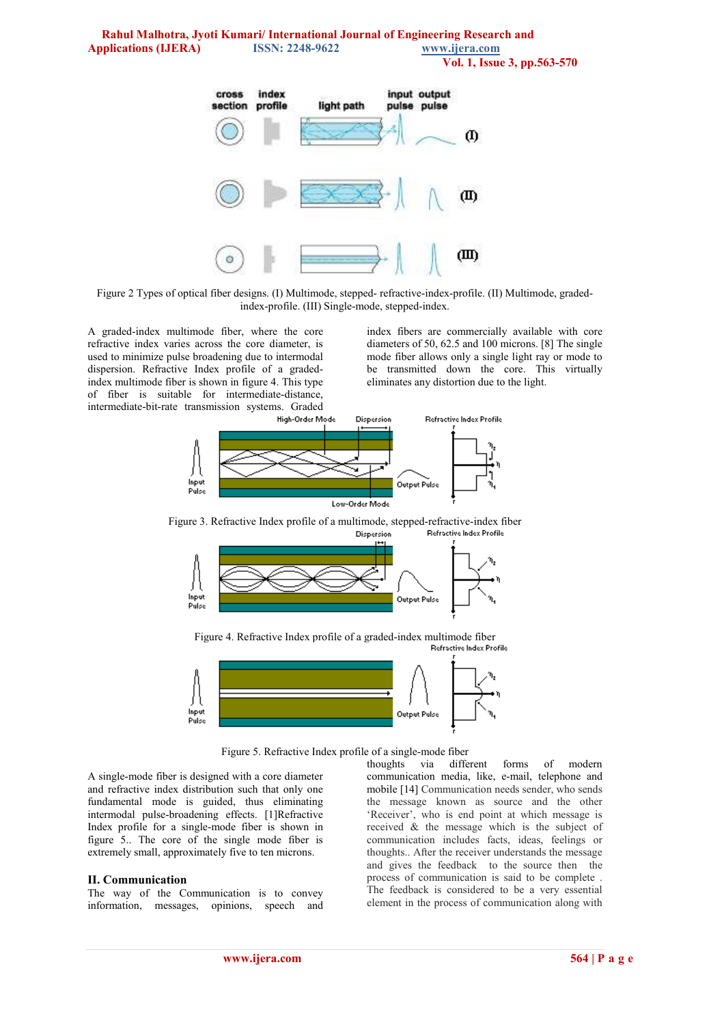**Rahul Malhotra, Jyoti Kumari/ International Journal of Engineering Research and Applications (IJERA) ISSN: 2248-9622 www.ijera.com Vol. 1, Issue 3, pp.563-570** 



Figure 2 Types of optical fiber designs. (I) Multimode, stepped- refractive-index-profile. (II) Multimode, gradedindex-profile. (III) Single-mode, stepped-index.

A graded-index [multimode fiber,](http://www.answers.com/topic/multimode-fiber) where the core refractive index varies across the core diameter, is used to minimize pulse broadening due to [intermodal](http://www.answers.com/topic/intermodal) dispersion. Refractive Index profile of a gradedindex [multimode fiber](http://www.answers.com/topic/multimode-fiber) is shown in figure 4. This type of fiber is suitable for intermediate-distance, intermediate-bit-rate transmission systems. Graded

index fibers are commercially available with core diameters of 50, 62.5 and 100 microns. [8] The single mode fiber allows only a single light ray or mode to be transmitted down the core. This virtually eliminates any distortion due to the light.



Figure 3. Refractive Index profile of a multimode, stepped-refractive-index fiber<br>
Dispersion<br>
Refractive Index Profile Dispersion



Figure 4. Refractive Index profile of a graded-index [multimode fiber](http://www.answers.com/topic/multimode-fiber) 



Figure 5. Refractive Index profile of a single-mode fiber

A single-mode fiber is designed with a core diameter and refractive index distribution such that only one fundamental mode is guided, thus eliminating intermodal pulse-broadening effects. [1]Refractive Index profile for a single-mode fiber is shown in figure 5.. The core of the single mode fiber is extremely small, approximately five to ten microns.

### **II. Communication**

The way of the Communication is to convey information, messages, opinions, speech and thoughts via different forms of modern communication media, like, e-mail, telephone and mobile [14] Communication needs sender, who sends the message known as source and the other 'Receiver', who is end point at which message is received & the message which is the subject of communication includes facts, ideas, feelings or thoughts.. After the receiver understands the message and gives the feedback to the source then the process of communication is said to be complete . The feedback is considered to be a very essential element in the process of communication along with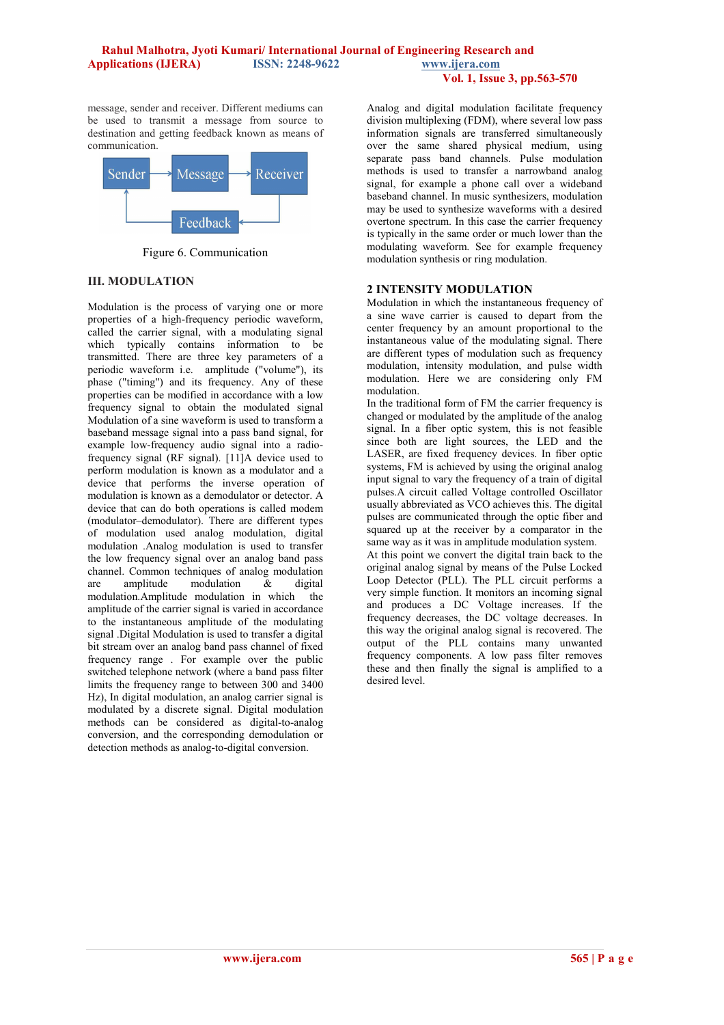### **Rahul Malhotra, Jyoti Kumari/ International Journal of Engineering Research and Applications (IJERA) ISSN: 2248-9622 www.ijera.com Vol. 1, Issue 3, pp.563-570**

message, sender and receiver. Different mediums can be used to transmit a message from source to destination and getting feedback known as means of communication.



Figure 6. Communication

# **III. MODULATION**

Modulation is the process of varying one or more properties of a high-frequency periodic [waveform,](http://en.wikipedia.org/wiki/Waveform) called the [carrier signal,](http://en.wikipedia.org/wiki/Carrier_wave) with a modulating signal which typically contains information to be transmitted. There are three key parameters of a periodic waveform i.e. [amplitude](http://en.wikipedia.org/wiki/Amplitude) ("volume"), its [phase](http://en.wikipedia.org/wiki/Phase_%28waves%29) ("timing") and its [frequency.](http://en.wikipedia.org/wiki/Frequency) Any of these properties can be modified in accordance with a low frequency signal to obtain the modulated signal Modulation of a sine waveform is used to transform a [baseband](http://en.wikipedia.org/wiki/Baseband) message signal into a [pass band](http://en.wikipedia.org/wiki/Passband) signal, for example low-frequency audio signal into a radiofrequency signal (RF signal). [11]A device used to perform modulation is known as a modulator and a device that performs the inverse operation of modulation is known as a [demodulator](http://en.wikipedia.org/wiki/Demodulator) or detector. A device that can do both operations is called [modem](http://en.wikipedia.org/wiki/Modem)  (modulator–demodulator). There are different types of modulation used analog modulation, digital modulation .Analog modulation is used to transfer the low frequency signal over an analog band pass [channel.](http://en.wikipedia.org/wiki/Channel_%28communications%29) Common techniques of analog modulation are amplitude modulation & digital modulation.[Amplitude modulation](http://en.wikipedia.org/wiki/Amplitude_modulation) in which amplitude of the carrier signal is varied in accordance to the instantaneous amplitude of the modulating signal .Digital Modulation is used to transfer a [digital](http://en.wikipedia.org/wiki/Digital)  bit stream over an analog [band pass](http://en.wikipedia.org/wiki/Bandpass) [channel of fixed](http://en.wikipedia.org/wiki/Channel_%28communications%29)  [frequency range](http://en.wikipedia.org/wiki/Channel_%28communications%29) . For example over the [public](http://en.wikipedia.org/wiki/Public_switched_telephone_network)  [switched telephone network](http://en.wikipedia.org/wiki/Public_switched_telephone_network) (where a [band pass filter](http://en.wikipedia.org/wiki/Bandpass_filter)  limits the frequency range to between 300 and 3400 Hz), In [digital](http://en.wikipedia.org/wiki/Digital) modulation, an analog carrier signal is modulated by a discrete signal. Digital modulation methods can be considered as digital-to-analog conversion, and the corresponding [demodulation](http://en.wikipedia.org/wiki/Demodulation) or detection methods as analog-to-digital conversion.

Analog and digital modulation facilitate [frequency](http://en.wikipedia.org/wiki/Frequency_division_multiplexing)  division multiplexing (FDM), where several low pass [information signals](http://en.wikipedia.org/wiki/Frequency_division_multiplexing) are transferred simultaneously over the same shared physical medium, using separate pass band channels. Pulse modulation methods is used to transfer a [narrowband](http://en.wikipedia.org/wiki/Narrowband) analog signal, for example a phone call over a [wideband](http://en.wikipedia.org/wiki/Wideband)  baseband channel. In music synthesizers, modulation may be used to synthesize waveforms with a desired overtone spectrum. In this case the carrier frequency is typically in the same order or much lower than the modulating waveform. See for example [frequency](http://en.wikipedia.org/wiki/Frequency_modulation_synthesis)  [modulation synthesis](http://en.wikipedia.org/wiki/Frequency_modulation_synthesis) or [ring modulation.](http://en.wikipedia.org/wiki/Ring_modulation#Use_in_music) 

### **2 INTENSITY MODULATION**

Modulation in which the instantaneous frequency of a sine wave carrier is caused to depart from the center frequency by an amount proportional to the instantaneous value of the modulating signal. There are different types of modulation such as frequency modulation, intensity modulation, and pulse width modulation. Here we are considering only FM modulation.

In the traditional form of FM the carrier frequency is changed or modulated by the amplitude of the analog signal. In a fiber optic system, this is not feasible since both are light sources, the LED and the LASER, are fixed frequency devices. In fiber optic systems, FM is achieved by using the original analog input signal to vary the frequency of a train of digital pulses.A circuit called Voltage controlled Oscillator usually abbreviated as VCO achieves this. The digital pulses are communicated through the optic fiber and squared up at the receiver by a comparator in the same way as it was in amplitude modulation system. At this point we convert the digital train back to the original analog signal by means of the Pulse Locked Loop Detector (PLL). The PLL circuit performs a very simple function. It monitors an incoming signal and produces a DC Voltage increases. If the frequency decreases, the DC voltage decreases. In this way the original analog signal is recovered. The output of the PLL contains many unwanted frequency components. A low pass filter removes these and then finally the signal is amplified to a desired level.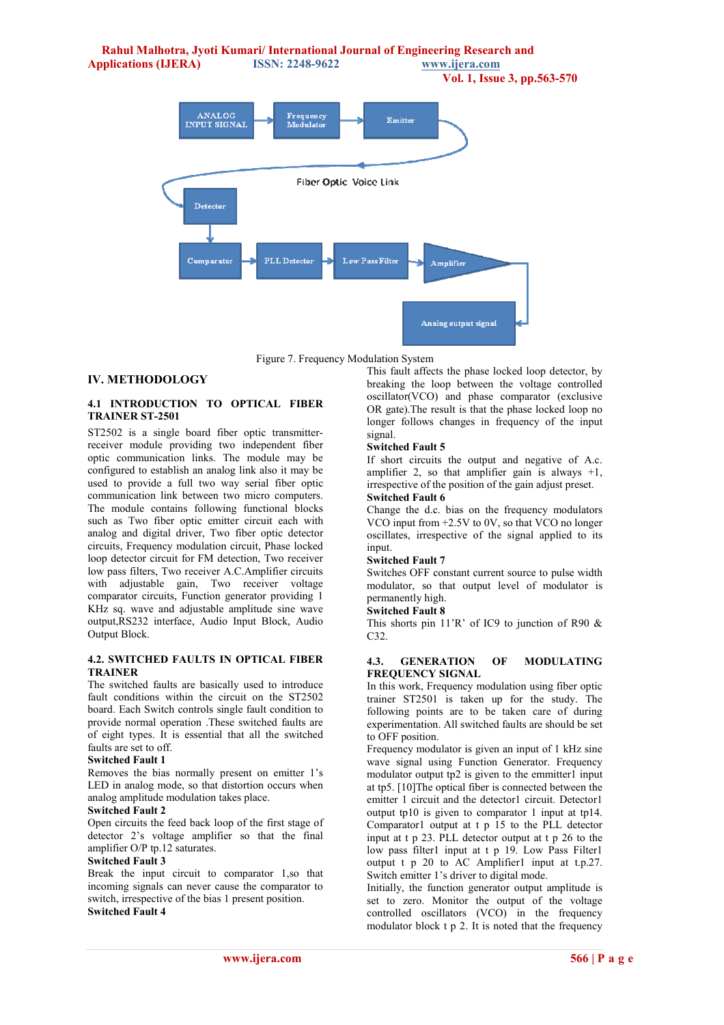**Rahul Malhotra, Jyoti Kumari/ International Journal of Engineering Research and Applications (IJERA) ISSN: 2248-9622 www.ijera.com Vol. 1, Issue 3, pp.563-570**  ANALOG<br>INPUT SIGNAL Frequency<br>Modulator Emitter Fiber Optic Voice Link Detector **Comparator PLL** Detector Low Pass Filter .<br>Amplifie

Figure 7. Frequency Modulation System

# **IV. METHODOLOGY**

# **4.1 INTRODUCTION TO OPTICAL FIBER TRAINER ST-2501**

ST2502 is a single board fiber optic transmitterreceiver module providing two independent fiber optic communication links. The module may be configured to establish an analog link also it may be used to provide a full two way serial fiber optic communication link between two micro computers. The module contains following functional blocks such as Two fiber optic emitter circuit each with analog and digital driver, Two fiber optic detector circuits, Frequency modulation circuit, Phase locked loop detector circuit for FM detection, Two receiver low pass filters, Two receiver A.C.Amplifier circuits with adjustable gain, Two receiver voltage comparator circuits, Function generator providing 1 KHz sq. wave and adjustable amplitude sine wave output,RS232 interface, Audio Input Block, Audio Output Block.

### **4.2. SWITCHED FAULTS IN OPTICAL FIBER TRAINER**

The switched faults are basically used to introduce fault conditions within the circuit on the ST2502 board. Each Switch controls single fault condition to provide normal operation .These switched faults are of eight types. It is essential that all the switched faults are set to off.

### **Switched Fault 1**

Removes the bias normally present on emitter 1's LED in analog mode, so that distortion occurs when analog amplitude modulation takes place.

### **Switched Fault 2**

Open circuits the feed back loop of the first stage of detector 2's voltage amplifier so that the final amplifier O/P tp.12 saturates.

### **Switched Fault 3**

Break the input circuit to comparator 1,so that incoming signals can never cause the comparator to switch, irrespective of the bias 1 present position. **Switched Fault 4** 

This fault affects the phase locked loop detector, by breaking the loop between the voltage controlled oscillator(VCO) and phase comparator (exclusive OR gate).The result is that the phase locked loop no longer follows changes in frequency of the input signal.

Analog output signal

# **Switched Fault 5**

If short circuits the output and negative of A.c. amplifier 2, so that amplifier gain is always  $+1$ , irrespective of the position of the gain adjust preset. **Switched Fault 6** 

Change the d.c. bias on the frequency modulators VCO input from +2.5V to 0V, so that VCO no longer oscillates, irrespective of the signal applied to its input.

### **Switched Fault 7**

Switches OFF constant current source to pulse width modulator, so that output level of modulator is permanently high.

# **Switched Fault 8**

This shorts pin 11'R' of IC9 to junction of R90  $\&$ C32.

### **4.3. GENERATION OF MODULATING FREQUENCY SIGNAL**

In this work, Frequency modulation using fiber optic trainer ST2501 is taken up for the study. The following points are to be taken care of during experimentation. All switched faults are should be set to OFF position.

Frequency modulator is given an input of 1 kHz sine wave signal using Function Generator. Frequency modulator output tp2 is given to the emmitter1 input at tp5. [10]The optical fiber is connected between the emitter 1 circuit and the detector1 circuit. Detector1 output tp10 is given to comparator 1 input at tp14. Comparator1 output at t p 15 to the PLL detector input at t p 23. PLL detector output at t p 26 to the low pass filter1 input at t p 19. Low Pass Filter1 output t p 20 to AC Amplifier1 input at t.p.27. Switch emitter 1's driver to digital mode.

Initially, the function generator output amplitude is set to zero. Monitor the output of the voltage controlled oscillators (VCO) in the frequency modulator block t p 2. It is noted that the frequency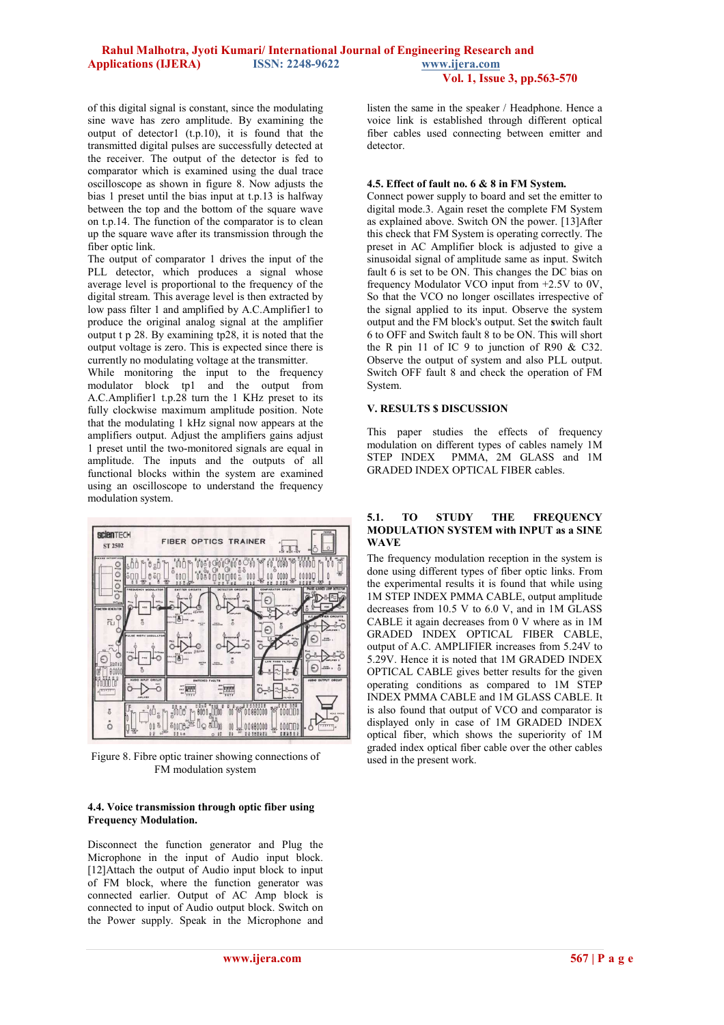### **Rahul Malhotra, Jyoti Kumari/ International Journal of Engineering Research and Applications (IJERA) ISSN: 2248-9622 www.ijera.com Vol. 1, Issue 3, pp.563-570**

of this digital signal is constant, since the modulating sine wave has zero amplitude. By examining the output of detector1 (t.p.10), it is found that the transmitted digital pulses are successfully detected at the receiver. The output of the detector is fed to comparator which is examined using the dual trace oscilloscope as shown in figure 8. Now adjusts the bias 1 preset until the bias input at t.p.13 is halfway between the top and the bottom of the square wave on t.p.14. The function of the comparator is to clean up the square wave after its transmission through the fiber optic link.

The output of comparator 1 drives the input of the PLL detector, which produces a signal whose average level is proportional to the frequency of the digital stream. This average level is then extracted by low pass filter 1 and amplified by A.C.Amplifier1 to produce the original analog signal at the amplifier output t p 28. By examining tp28, it is noted that the output voltage is zero. This is expected since there is currently no modulating voltage at the transmitter.

While monitoring the input to the frequency modulator block tp1 and the output from A.C.Amplifier1 t.p.28 turn the 1 KHz preset to its fully clockwise maximum amplitude position. Note that the modulating 1 kHz signal now appears at the amplifiers output. Adjust the amplifiers gains adjust 1 preset until the two-monitored signals are equal in amplitude. The inputs and the outputs of all functional blocks within the system are examined using an oscilloscope to understand the frequency modulation system.



Figure 8. Fibre optic trainer showing connections of FM modulation system

### **4.4. Voice transmission through optic fiber using Frequency Modulation.**

Disconnect the function generator and Plug the Microphone in the input of Audio input block. [12]Attach the output of Audio input block to input of FM block, where the function generator was connected earlier. Output of AC Amp block is connected to input of Audio output block. Switch on the Power supply. Speak in the Microphone and listen the same in the speaker / Headphone. Hence a voice link is established through different optical fiber cables used connecting between emitter and detector.

### **4.5. Effect of fault no. 6 & 8 in FM System.**

Connect power supply to board and set the emitter to digital mode.3. Again reset the complete FM System as explained above. Switch ON the power. [13]After this check that FM System is operating correctly. The preset in AC Amplifier block is adjusted to give a sinusoidal signal of amplitude same as input. Switch fault 6 is set to be ON. This changes the DC bias on frequency Modulator VCO input from +2.5V to 0V, So that the VCO no longer oscillates irrespective of the signal applied to its input. Observe the system output and the FM block's output. Set the **s**witch fault 6 to OFF and Switch fault 8 to be ON. This will short the R pin 11 of IC 9 to junction of R90 & C32. Observe the output of system and also PLL output. Switch OFF fault 8 and check the operation of FM System.

### **V. RESULTS \$ DISCUSSION**

This paper studies the effects of frequency modulation on different types of cables namely 1M<br>STEP INDEX PMMA, 2M GLASS and 1M PMMA, 2M GLASS and 1M GRADED INDEX OPTICAL FIBER cables.

### **5.1. TO STUDY THE FREQUENCY MODULATION SYSTEM with INPUT as a SINE WAVE**

The frequency modulation reception in the system is done using different types of fiber optic links. From the experimental results it is found that while using 1M STEP INDEX PMMA CABLE, output amplitude decreases from 10.5 V to 6.0 V, and in 1M GLASS CABLE it again decreases from 0 V where as in 1M GRADED INDEX OPTICAL FIBER CABLE, output of A.C. AMPLIFIER increases from 5.24V to 5.29V. Hence it is noted that 1M GRADED INDEX OPTICAL CABLE gives better results for the given operating conditions as compared to 1M STEP INDEX PMMA CABLE and 1M GLASS CABLE. It is also found that output of VCO and comparator is displayed only in case of 1M GRADED INDEX optical fiber, which shows the superiority of 1M graded index optical fiber cable over the other cables used in the present work.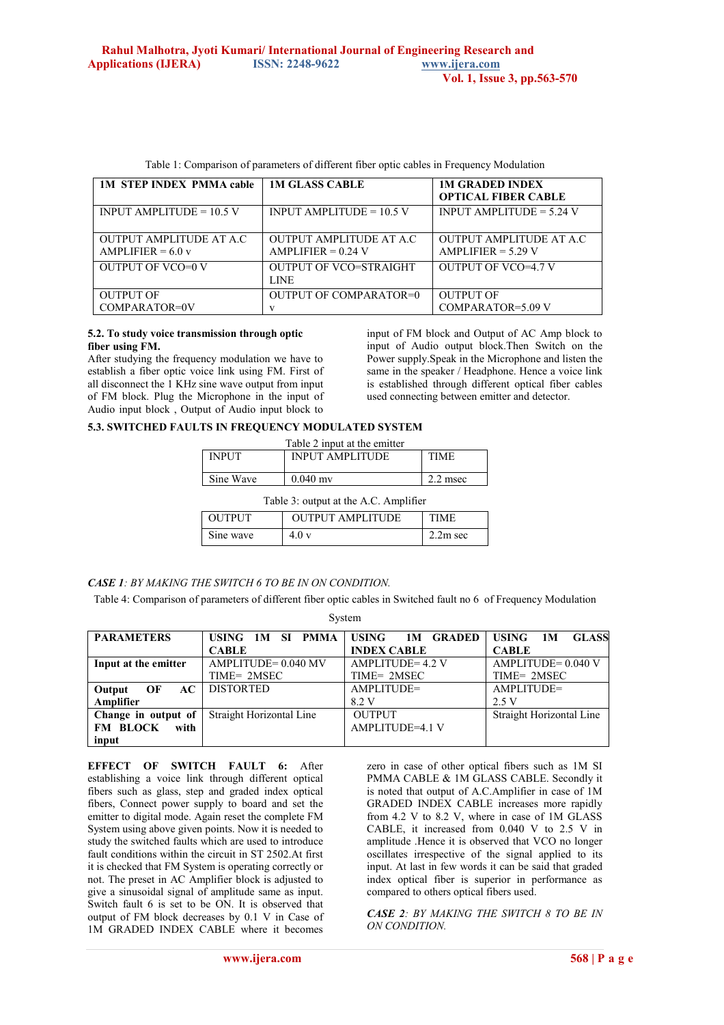| <b>1M STEP INDEX PMMA cable</b>                        | <b>1M GLASS CABLE</b>                                   | <b>1M GRADED INDEX</b><br><b>OPTICAL FIBER CABLE</b>    |
|--------------------------------------------------------|---------------------------------------------------------|---------------------------------------------------------|
| INPUT AMPLITUDE = $10.5$ V                             | INPUT AMPLITUDE $= 10.5$ V                              | INPUT AMPLITUDE $= 5.24$ V                              |
| <b>OUTPUT AMPLITUDE AT A.C.</b><br>AMPLIFIER = $6.0 v$ | <b>OUTPUT AMPLITUDE AT A.C.</b><br>$AMPLIFIER = 0.24 V$ | <b>OUTPUT AMPLITUDE AT A.C.</b><br>$AMPLIFIER = 5.29 V$ |
| <b>OUTPUT OF VCO=0 V</b>                               | <b>OUTPUT OF VCO=STRAIGHT</b><br><b>LINE</b>            | <b>OUTPUT OF VCO=4.7 V</b>                              |
| <b>OUTPUT OF</b>                                       | <b>OUTPUT OF COMPARATOR=0</b>                           | <b>OUTPUT OF</b>                                        |
| COMPARATOR=0V                                          | $\mathbf{V}$                                            | COMPARATOR=5.09 V                                       |

Table 1: Comparison of parameters of different fiber optic cables in Frequency Modulation

#### **5.2. To study voice transmission through optic fiber using FM.**

After studying the frequency modulation we have to establish a fiber optic voice link using FM. First of all disconnect the  $\hat{1}$  KHz sine wave output from input of FM block. Plug the Microphone in the input of Audio input block , Output of Audio input block to input of FM block and Output of AC Amp block to input of Audio output block.Then Switch on the Power supply.Speak in the Microphone and listen the same in the speaker / Headphone. Hence a voice link is established through different optical fiber cables used connecting between emitter and detector.

### **5.3. SWITCHED FAULTS IN FREQUENCY MODULATED SYSTEM**

| Table 2 input at the emitter          |                        |             |  |
|---------------------------------------|------------------------|-------------|--|
| <b>INPUT</b>                          | <b>INPUT AMPLITUDE</b> | <b>TIME</b> |  |
|                                       |                        |             |  |
| Sine Wave                             | $0.040$ my             | $2.2$ msec  |  |
|                                       |                        |             |  |
| Table 3: output at the A.C. Amplifier |                        |             |  |

| rable 5. output at the $A.C.$ Amplifier |                         |             |  |
|-----------------------------------------|-------------------------|-------------|--|
| <b>OUTPUT</b>                           | <b>OUTPUT AMPLITUDE</b> | <b>TIME</b> |  |
| Sine wave                               | 4.0v                    | $2.2m$ sec  |  |

### *CASE 1: BY MAKING THE SWITCH 6 TO BE IN ON CONDITION.*

Table 4: Comparison of parameters of different fiber optic cables in Switched fault no 6 of Frequency Modulation System

| <b>PARAMETERS</b>    | USING 1M SI PMMA         | <b>USING</b><br><b>1M GRADED</b> | USING<br><b>GLASS</b><br>1M |  |
|----------------------|--------------------------|----------------------------------|-----------------------------|--|
|                      | <b>CABLE</b>             | <b>INDEX CABLE</b>               | <b>CABLE</b>                |  |
| Input at the emitter | AMPLITUDE= 0.040 MV      | AMPLITUDE=4.2 V                  | $AMPLITUDE = 0.040 V$       |  |
|                      | TIME= 2MSEC              | TIME= 2MSEC                      | TIME= 2MSEC                 |  |
| AC<br>OF<br>Output   | <b>DISTORTED</b>         | AMPLITUDE=                       | AMPLITUDE=                  |  |
| Amplifier            |                          | 8.2 V                            | 2.5 V                       |  |
| Change in output of  | Straight Horizontal Line | <b>OUTPUT</b>                    | Straight Horizontal Line    |  |
| FM BLOCK<br>with     |                          | AMPLITUDE=4.1 V                  |                             |  |
| input                |                          |                                  |                             |  |

**EFFECT OF SWITCH FAULT 6:** After establishing a voice link through different optical fibers such as glass, step and graded index optical fibers, Connect power supply to board and set the emitter to digital mode. Again reset the complete FM System using above given points. Now it is needed to study the switched faults which are used to introduce fault conditions within the circuit in ST 2502.At first it is checked that FM System is operating correctly or not. The preset in AC Amplifier block is adjusted to give a sinusoidal signal of amplitude same as input. Switch fault 6 is set to be ON. It is observed that output of FM block decreases by 0.1 V in Case of 1M GRADED INDEX CABLE where it becomes

zero in case of other optical fibers such as 1M SI PMMA CABLE & 1M GLASS CABLE. Secondly it is noted that output of A.C.Amplifier in case of 1M GRADED INDEX CABLE increases more rapidly from 4.2 V to 8.2 V, where in case of 1M GLASS CABLE, it increased from 0.040 V to 2.5 V in amplitude .Hence it is observed that VCO no longer oscillates irrespective of the signal applied to its input. At last in few words it can be said that graded index optical fiber is superior in performance as compared to others optical fibers used.

*CASE 2: BY MAKING THE SWITCH 8 TO BE IN ON CONDITION.*